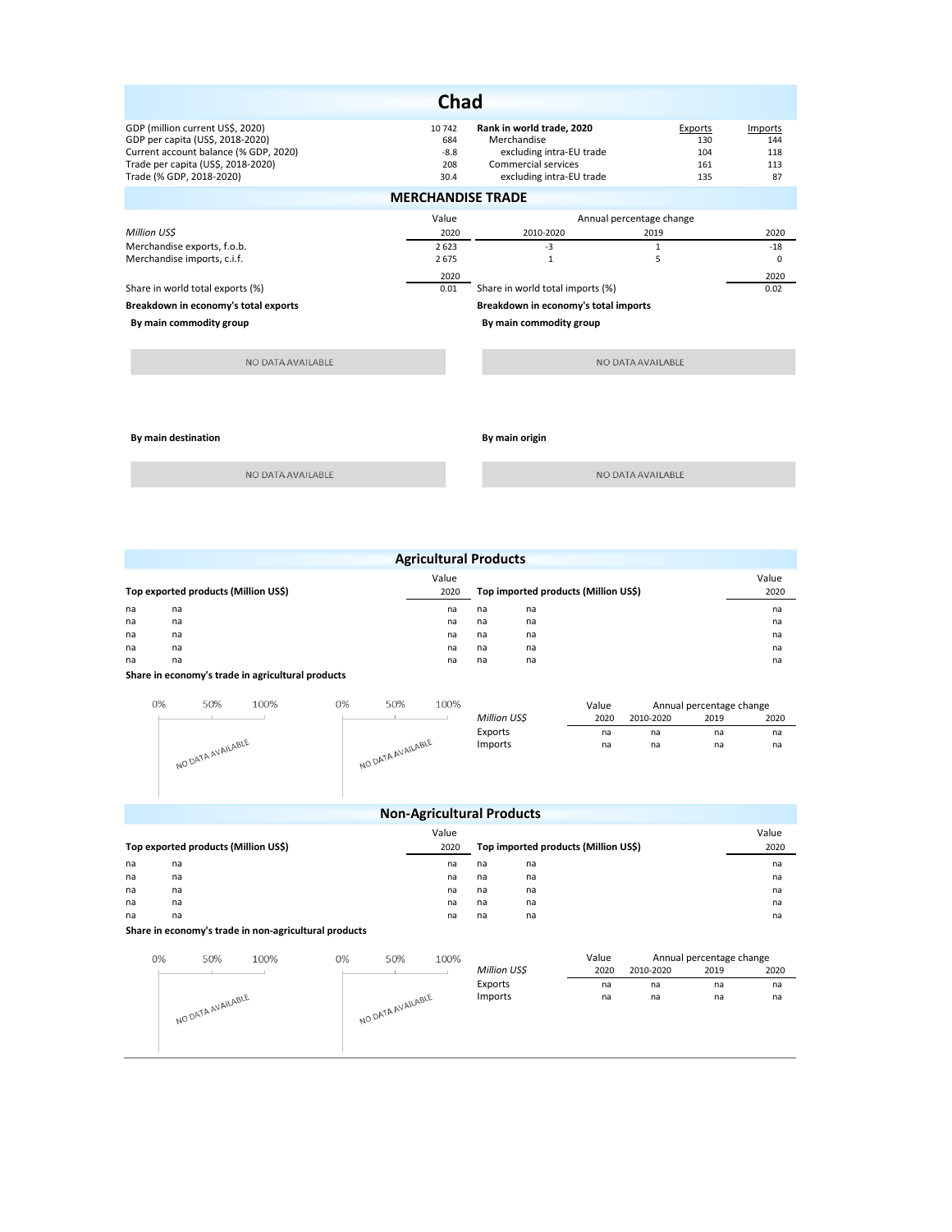| <b>Chad</b>                           |                                   |                                      |                   |          |  |  |  |  |  |
|---------------------------------------|-----------------------------------|--------------------------------------|-------------------|----------|--|--|--|--|--|
| GDP (million current US\$, 2020)      | 10742                             | Rank in world trade, 2020            | Exports           | Imports  |  |  |  |  |  |
| GDP per capita (US\$, 2018-2020)      | 684                               | Merchandise                          | 130               | 144      |  |  |  |  |  |
| Current account balance (% GDP, 2020) | $-8.8$                            | excluding intra-EU trade             | 104               | 118      |  |  |  |  |  |
| Trade per capita (US\$, 2018-2020)    | 208                               | Commercial services                  | 161               | 113      |  |  |  |  |  |
| Trade (% GDP, 2018-2020)              | 30.4                              | excluding intra-EU trade             | 135               | 87       |  |  |  |  |  |
| <b>MERCHANDISE TRADE</b>              |                                   |                                      |                   |          |  |  |  |  |  |
|                                       | Value<br>Annual percentage change |                                      |                   |          |  |  |  |  |  |
| Million USS                           | 2020                              | 2010-2020                            | 2019              | 2020     |  |  |  |  |  |
| Merchandise exports, f.o.b.           | 2623                              | -3                                   | $\mathbf{1}$      | $-18$    |  |  |  |  |  |
| Merchandise imports, c.i.f.           | 2675                              | $\mathbf{1}$                         | 5                 | $\Omega$ |  |  |  |  |  |
|                                       | 2020                              |                                      |                   | 2020     |  |  |  |  |  |
| Share in world total exports (%)      | 0.01                              | Share in world total imports (%)     |                   | 0.02     |  |  |  |  |  |
| Breakdown in economy's total exports  |                                   | Breakdown in economy's total imports |                   |          |  |  |  |  |  |
| By main commodity group               |                                   | By main commodity group              |                   |          |  |  |  |  |  |
|                                       |                                   |                                      |                   |          |  |  |  |  |  |
| NO DATA AVAILABLE                     |                                   |                                      | NO DATA AVAILABLE |          |  |  |  |  |  |
|                                       |                                   |                                      |                   |          |  |  |  |  |  |

**By main destination By main origin** 

NO DATA AVAILABLE

NO DATA AVAILABLE

| <b>Agricultural Products</b>         |                |    |      |                                      |               |  |  |  |
|--------------------------------------|----------------|----|------|--------------------------------------|---------------|--|--|--|
| Top exported products (Million US\$) |                |    | 2020 | Top imported products (Million US\$) | Value<br>2020 |  |  |  |
| na                                   | na             | na | na   | na                                   | na            |  |  |  |
| na                                   | na             | na | na   | na                                   | na            |  |  |  |
| na                                   | na             | na | na   | na                                   | na            |  |  |  |
| na                                   | na             | na | na   | na                                   | na            |  |  |  |
| na                                   | na             | na | na   | na                                   | na            |  |  |  |
|                                      | .<br>$-1$ $-1$ |    |      |                                      |               |  |  |  |

**Share in economy's trade in agricultural products**

| 0% | 50%               | 100% | 0% | 50%               | 100% |              | Value |           | Annual percentage change |      |
|----|-------------------|------|----|-------------------|------|--------------|-------|-----------|--------------------------|------|
|    |                   |      |    |                   |      | Million US\$ | 2020  | 2010-2020 | 2019                     | 2020 |
|    |                   |      |    |                   |      | Exports      | na    | na        | na                       | na   |
|    | NO DATA AVAILABLE |      |    | NO DATA AVAILABLE |      | Imports      | na    | na        | na                       | na   |

|                                      | <b>Non-Agricultural Products</b> |      |   |                                      |      |    |       |  |  |
|--------------------------------------|----------------------------------|------|---|--------------------------------------|------|----|-------|--|--|
|                                      |                                  |      |   | Value                                |      |    | Value |  |  |
| Top exported products (Million US\$) |                                  | 2020 |   | Top imported products (Million US\$) | 2020 |    |       |  |  |
| na                                   | na                               |      |   | na                                   | na   | na | na    |  |  |
| na                                   | na                               |      |   | na                                   | na   | na | na    |  |  |
| na                                   | na                               |      |   | na                                   | na   | na | na    |  |  |
| na                                   | na                               |      |   | na                                   | na   | na | na    |  |  |
| na                                   | na                               |      |   | na                                   | na   | na | na    |  |  |
|                                      | $-1$ $-1$                        |      | . |                                      |      |    |       |  |  |

## **Share in economy's trade in non-agricultural products**

| 0% | 50%               | 100% | 0% | 50%               | 100% |              | Value |           | Annual percentage change |      |
|----|-------------------|------|----|-------------------|------|--------------|-------|-----------|--------------------------|------|
|    |                   |      |    |                   |      | Million US\$ | 2020  | 2010-2020 | 2019                     | 2020 |
|    |                   |      |    |                   |      | Exports      | na    | na        | na                       | na   |
|    |                   |      |    |                   |      | Imports      | na    | na        | na                       | na   |
|    | NO DATA AVAILABLE |      |    | NO DATA AVAILABLE |      |              |       |           |                          |      |